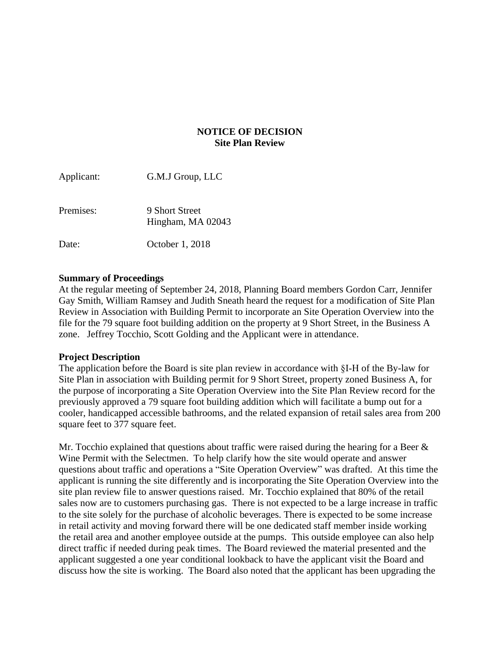# **NOTICE OF DECISION Site Plan Review**

| Applicant: | G.M.J Group, LLC                    |
|------------|-------------------------------------|
| Premises:  | 9 Short Street<br>Hingham, MA 02043 |
| Date:      | October 1, 2018                     |

### **Summary of Proceedings**

At the regular meeting of September 24, 2018, Planning Board members Gordon Carr, Jennifer Gay Smith, William Ramsey and Judith Sneath heard the request for a modification of Site Plan Review in Association with Building Permit to incorporate an Site Operation Overview into the file for the 79 square foot building addition on the property at 9 Short Street, in the Business A zone. Jeffrey Tocchio, Scott Golding and the Applicant were in attendance.

#### **Project Description**

The application before the Board is site plan review in accordance with §I-H of the By-law for Site Plan in association with Building permit for 9 Short Street, property zoned Business A, for the purpose of incorporating a Site Operation Overview into the Site Plan Review record for the previously approved a 79 square foot building addition which will facilitate a bump out for a cooler, handicapped accessible bathrooms, and the related expansion of retail sales area from 200 square feet to 377 square feet.

Mr. Tocchio explained that questions about traffic were raised during the hearing for a Beer  $\&$ Wine Permit with the Selectmen. To help clarify how the site would operate and answer questions about traffic and operations a "Site Operation Overview" was drafted. At this time the applicant is running the site differently and is incorporating the Site Operation Overview into the site plan review file to answer questions raised. Mr. Tocchio explained that 80% of the retail sales now are to customers purchasing gas. There is not expected to be a large increase in traffic to the site solely for the purchase of alcoholic beverages. There is expected to be some increase in retail activity and moving forward there will be one dedicated staff member inside working the retail area and another employee outside at the pumps. This outside employee can also help direct traffic if needed during peak times. The Board reviewed the material presented and the applicant suggested a one year conditional lookback to have the applicant visit the Board and discuss how the site is working. The Board also noted that the applicant has been upgrading the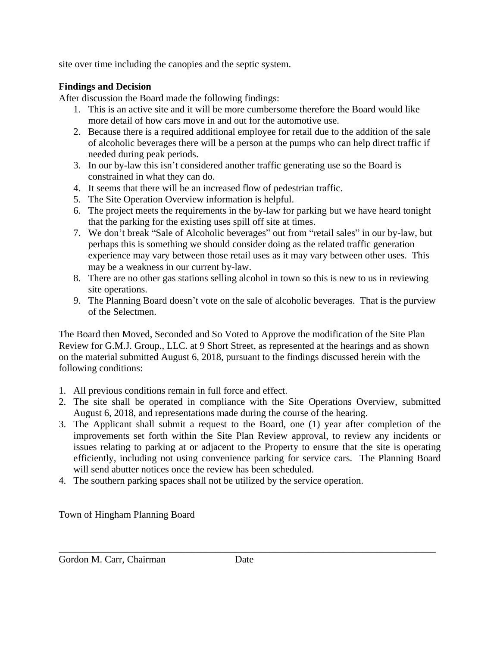site over time including the canopies and the septic system.

# **Findings and Decision**

After discussion the Board made the following findings:

- 1. This is an active site and it will be more cumbersome therefore the Board would like more detail of how cars move in and out for the automotive use.
- 2. Because there is a required additional employee for retail due to the addition of the sale of alcoholic beverages there will be a person at the pumps who can help direct traffic if needed during peak periods.
- 3. In our by-law this isn't considered another traffic generating use so the Board is constrained in what they can do.
- 4. It seems that there will be an increased flow of pedestrian traffic.
- 5. The Site Operation Overview information is helpful.
- 6. The project meets the requirements in the by-law for parking but we have heard tonight that the parking for the existing uses spill off site at times.
- 7. We don't break "Sale of Alcoholic beverages" out from "retail sales" in our by-law, but perhaps this is something we should consider doing as the related traffic generation experience may vary between those retail uses as it may vary between other uses. This may be a weakness in our current by-law.
- 8. There are no other gas stations selling alcohol in town so this is new to us in reviewing site operations.
- 9. The Planning Board doesn't vote on the sale of alcoholic beverages. That is the purview of the Selectmen.

The Board then Moved, Seconded and So Voted to Approve the modification of the Site Plan Review for G.M.J. Group., LLC. at 9 Short Street, as represented at the hearings and as shown on the material submitted August 6, 2018, pursuant to the findings discussed herein with the following conditions:

- 1. All previous conditions remain in full force and effect.
- 2. The site shall be operated in compliance with the Site Operations Overview, submitted August 6, 2018, and representations made during the course of the hearing.
- 3. The Applicant shall submit a request to the Board, one (1) year after completion of the improvements set forth within the Site Plan Review approval, to review any incidents or issues relating to parking at or adjacent to the Property to ensure that the site is operating efficiently, including not using convenience parking for service cars. The Planning Board will send abutter notices once the review has been scheduled.
- 4. The southern parking spaces shall not be utilized by the service operation.

Town of Hingham Planning Board